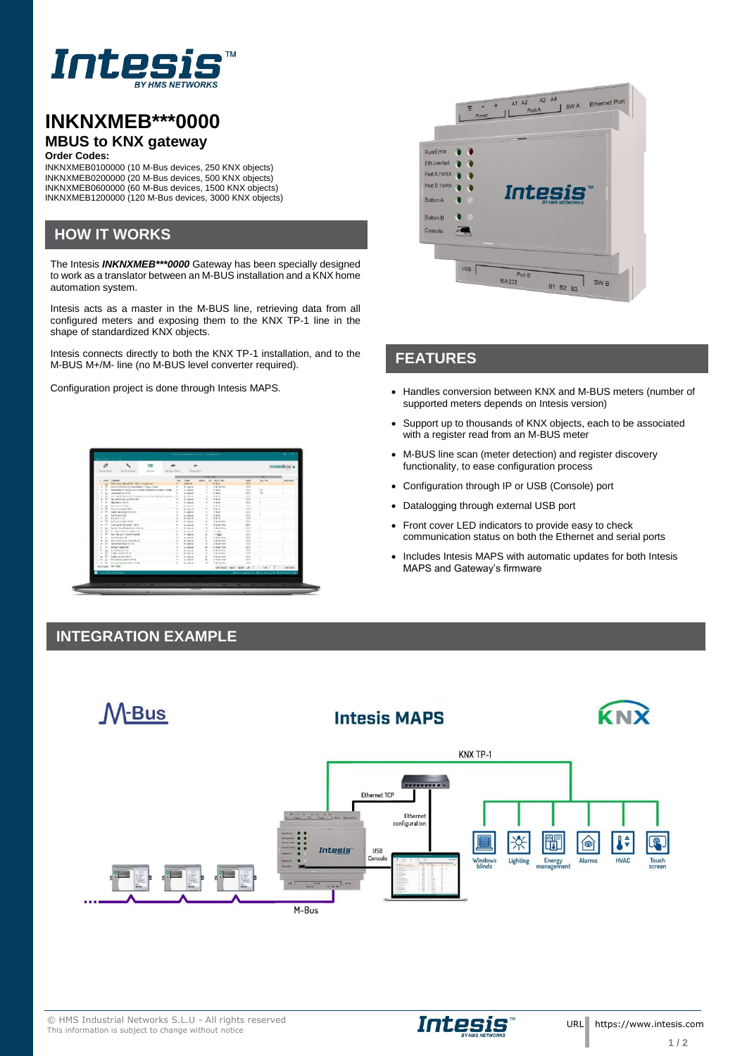

# **INKNXMEB\*\*\*0000 MBUS to KNX gateway**

#### **Order Codes:**

INKNXMEB0100000 (10 M-Bus devices, 250 KNX objects) INKNXMEB0200000 (20 M-Bus devices, 500 KNX objects) INKNXMEB0600000 (60 M-Bus devices, 1500 KNX objects) INKNXMEB1200000 (120 M-Bus devices, 3000 KNX objects)

#### **HOW IT WORKS**

The Intesis *INKNXMEB\*\*\*0000* Gateway has been specially designed to work as a translator between an M-BUS installation and a KNX home automation system.

Intesis acts as a master in the M-BUS line, retrieving data from all configured meters and exposing them to the KNX TP-1 line in the shape of standardized KNX objects.

Intesis connects directly to both the KNX TP-1 installation, and to the M-BUS M+/M- line (no M-BUS level converter required).

| ø                       |                                                                                             |               |                      |                                |               |                        |                                                              |                | IntesisBox s  |
|-------------------------|---------------------------------------------------------------------------------------------|---------------|----------------------|--------------------------------|---------------|------------------------|--------------------------------------------------------------|----------------|---------------|
| <b>Contact Children</b> |                                                                                             | <b>Farsky</b> | Recipediate Disposit |                                |               |                        |                                                              |                |               |
|                         |                                                                                             |               |                      |                                | <b>NATION</b> |                        |                                                              |                |               |
|                         | ARM (TORPRE)                                                                                |               | $^{16}$              | <b>TOP</b>                     |               | amount the rest new    | $-0.5$                                                       | <b>PALCAST</b> | <b>Walker</b> |
|                         | <b>Electronist and History Construction</b>                                                 |               |                      | <b>ABLA</b>                    |               | 15.5-A                 | <b>TER</b>                                                   |                |               |
|                         | type and a new primary had only begin model                                                 |               |                      | <b>Bulletin</b>                |               | A-A-Arizon<br>$-2.50$  | $-4.8$                                                       |                |               |
| $\sim$                  | Employees of charitans, and consider the frequency of contact charges.<br>handle with 1976. |               |                      | A region                       |               | $-0.344$               | -<br>728                                                     | 14             |               |
| ×                       | think have the state of the same buy of a shown of the state of the state of                |               |                      | <b>B. Linkerton</b><br>8.13888 |               | <b>Billian</b>         | <b>North</b>                                                 |                | ÷             |
| $\sim$<br>×             | Pacific lange in different                                                                  |               |                      | <b>Science</b>                 |               | <b>British</b>         | <b>High</b>                                                  |                |               |
| ٠                       | <b>INSANDA 1974</b>                                                                         |               |                      | 6 Januar                       |               | $-$ 5 $3$ mod          | 228                                                          |                | ٠             |
| ×                       | to sell a title                                                                             |               |                      | W Thread                       | ٠             | <b>CONTRACTOR</b>      | <b>Side</b>                                                  |                |               |
| v                       | <b>Back To be detected to a</b>                                                             |               |                      | <b>B</b> Language              |               | <b>RALA</b>            | $-10$                                                        |                |               |
| ÷                       | <b>SAME DESCRIPTION OF SALE</b>                                                             |               |                      | <b>P. Legend</b>               | ۰             | <b>COLLECTION</b>      | <b>NAME</b>                                                  |                |               |
|                         | for finality (i).                                                                           |               |                      | S. Jakowi                      |               | $-1$ had               | <b>EXH</b>                                                   |                |               |
| $\sim$<br>×             | <b>BARNING</b>                                                                              |               |                      | <b>Richard</b>                 |               | $8.9 - 6$              | <b>CAR</b>                                                   |                |               |
| ۰<br>$\sim$             | Authentical dealership                                                                      |               |                      | <b>B-Ingelet</b>               |               | A Audulfalo            | $-0.014$                                                     |                |               |
|                         | Authorized McAdolbas Listens                                                                |               |                      | <b>B. Johnson</b>              |               | $-2.5$ and $-2.0$      | 2288                                                         |                |               |
|                         | by to 7 line \$100 motion of the fol-                                                       |               |                      | <b>B. Lincoln</b>              |               | <b>LE BARTES</b>       | 1888                                                         |                | ٠             |
| ÷<br>$\sim$             | <b>Building and Charles Care</b>                                                            |               |                      | <b>A course</b>                |               | <b>START</b>           | $-0.4$                                                       |                |               |
|                         | for his art 10 bodinated                                                                    |               |                      | 9. Johnson                     |               | . Thisse               | 258                                                          |                |               |
| ٠<br>$\sim$             | fore formulate 4th                                                                          |               |                      | <b>Burnier</b>                 |               | a it foot this         | <b>NAV</b>                                                   |                |               |
| $\sim$<br>ú             | buildings for the form that to                                                              |               |                      | <b>Michael</b>                 |               | - A New York           | $+1.1$                                                       |                |               |
|                         | facebation term for 16                                                                      |               |                      | <b>B</b> receive               |               | A Bride King           | 144                                                          |                |               |
| ×                       | <b>Schola Tourist 49</b>                                                                    |               |                      | <b>C. Lebrard</b>              |               | <b>CE Suite Street</b> | 241                                                          | ×              |               |
|                         | <b>Mindalka Facilia</b>                                                                     |               |                      | <b>Bulleting</b>               |               | 1. Bright Stop         | <b>HAM</b>                                                   | $\sim$         | ٠             |
| ÷                       | armed and a factor                                                                          |               |                      | <b>Business</b>                |               | <b>A Braze</b>         | <b>HAR</b>                                                   |                |               |
|                         | <b>Sendan cauchting date of</b>                                                             |               |                      | 9 Janeiro                      |               | . It has they          | $-0.6$                                                       |                |               |
|                         | <b>Information State</b>                                                                    |               |                      | <b>B-AMAR</b>                  |               | 1 in Separation        | <b>AAA</b>                                                   |                |               |
| $\sim$                  | Who do not deliver in the W-                                                                |               |                      | <b>Billian</b>                 |               | A-A-AFRICA             | 148                                                          |                |               |
| Missings, Strates       |                                                                                             |               |                      |                                |               |                        | adverse rack apen an in the fight interest                   |                |               |
|                         | <b>Insulate Internet</b>                                                                    |               |                      |                                |               |                        | <b>Britannianovic &amp; Controlscient &amp; correctivity</b> |                |               |
|                         |                                                                                             |               |                      |                                |               |                        |                                                              |                |               |
|                         |                                                                                             |               |                      |                                |               |                        |                                                              |                |               |

#### **INTEGRATION EXAMPLE**

œ



## **FEATURES**

- Configuration project is done through Intesis MAPS. Handles conversion between KNX and M-BUS meters (number of supported meters depends on Intesis version)
	- Support up to thousands of KNX objects, each to be associated with a register read from an M-BUS meter
	- M-BUS line scan (meter detection) and register discovery functionality, to ease configuration process
	- Configuration through IP or USB (Console) port
	- Datalogging through external USB port
	- Front cover LED indicators to provide easy to check communication status on both the Ethernet and serial ports
	- Includes Intesis MAPS with automatic updates for both Intesis MAPS and Gateway's firmware